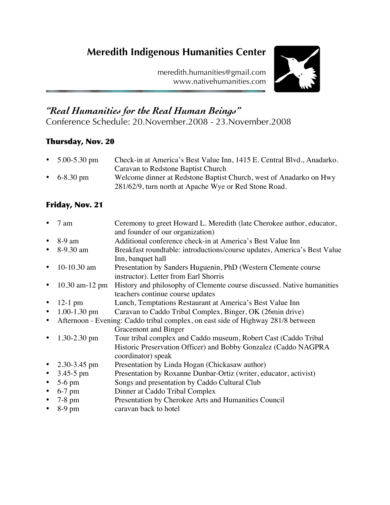# **Meredith Indigenous Humanities Center**

meredith.humanities@gmail.com www.nativehumanities.com



## *"Real Humanities for the Real Human Beings"*

Conference Schedule: 20.November.2008 - 23.November.2008

### Thursday, Nov. 20

| • $5.00 - 5.30$ pm | Check-in at America's Best Value Inn, 1415 E. Central Blvd., Anadarko. |
|--------------------|------------------------------------------------------------------------|
|                    | Caravan to Redstone Baptist Church                                     |
| • 6-8.30 pm        | Welcome dinner at Redstone Baptist Church, west of Anadarko on Hwy     |
|                    | 281/62/9, turn north at Apache Wye or Red Stone Road.                  |

## Friday, Nov. 21

|           | 7 am                                                                             | Ceremony to greet Howard L. Meredith (late Cherokee author, educator,<br>and founder of our organization) |
|-----------|----------------------------------------------------------------------------------|-----------------------------------------------------------------------------------------------------------|
| $\bullet$ | 8-9 am                                                                           | Additional conference check-in at America's Best Value Inn                                                |
|           |                                                                                  |                                                                                                           |
|           | 8-9.30 am                                                                        | Breakfast roundtable: introductions/course updates, America's Best Value                                  |
|           |                                                                                  | Inn, banquet hall                                                                                         |
| $\bullet$ | 10-10.30 am                                                                      | Presentation by Sanders Huguenin, PhD (Western Clemente course                                            |
|           |                                                                                  | instructor). Letter from Earl Shorris                                                                     |
|           | $10.30$ am- $12$ pm                                                              | History and philosophy of Clemente course discussed. Native humanities                                    |
|           |                                                                                  | teachers continue course updates                                                                          |
|           | $12-1$ pm                                                                        | Lunch, Temptations Restaurant at America's Best Value Inn                                                 |
| $\bullet$ | $1.00 - 1.30$ pm                                                                 | Caravan to Caddo Tribal Complex, Binger, OK (26min drive)                                                 |
|           | Afternoon - Evening: Caddo tribal complex, on east side of Highway 281/8 between |                                                                                                           |
|           |                                                                                  | Gracemont and Binger                                                                                      |
|           | $1.30 - 2.30$ pm                                                                 | Tour tribal complex and Caddo museum, Robert Cast (Caddo Tribal                                           |
|           |                                                                                  | Historic Preservation Officer) and Bobby Gonzalez (Caddo NAGPRA                                           |
|           |                                                                                  | coordinator) speak                                                                                        |
|           | • $2.30 - 3.45$ pm                                                               | Presentation by Linda Hogan (Chickasaw author)                                                            |
| $\bullet$ | $3.45 - 5$ pm                                                                    | Presentation by Roxanne Dunbar-Ortiz (writer, educator, activist)                                         |
| $\bullet$ | $5-6$ pm                                                                         | Songs and presentation by Caddo Cultural Club                                                             |
| $\bullet$ | $6-7$ pm                                                                         | Dinner at Caddo Tribal Complex                                                                            |
|           | $7-8$ pm                                                                         | Presentation by Cherokee Arts and Humanities Council                                                      |
|           | $8-9$ pm                                                                         | caravan back to hotel                                                                                     |